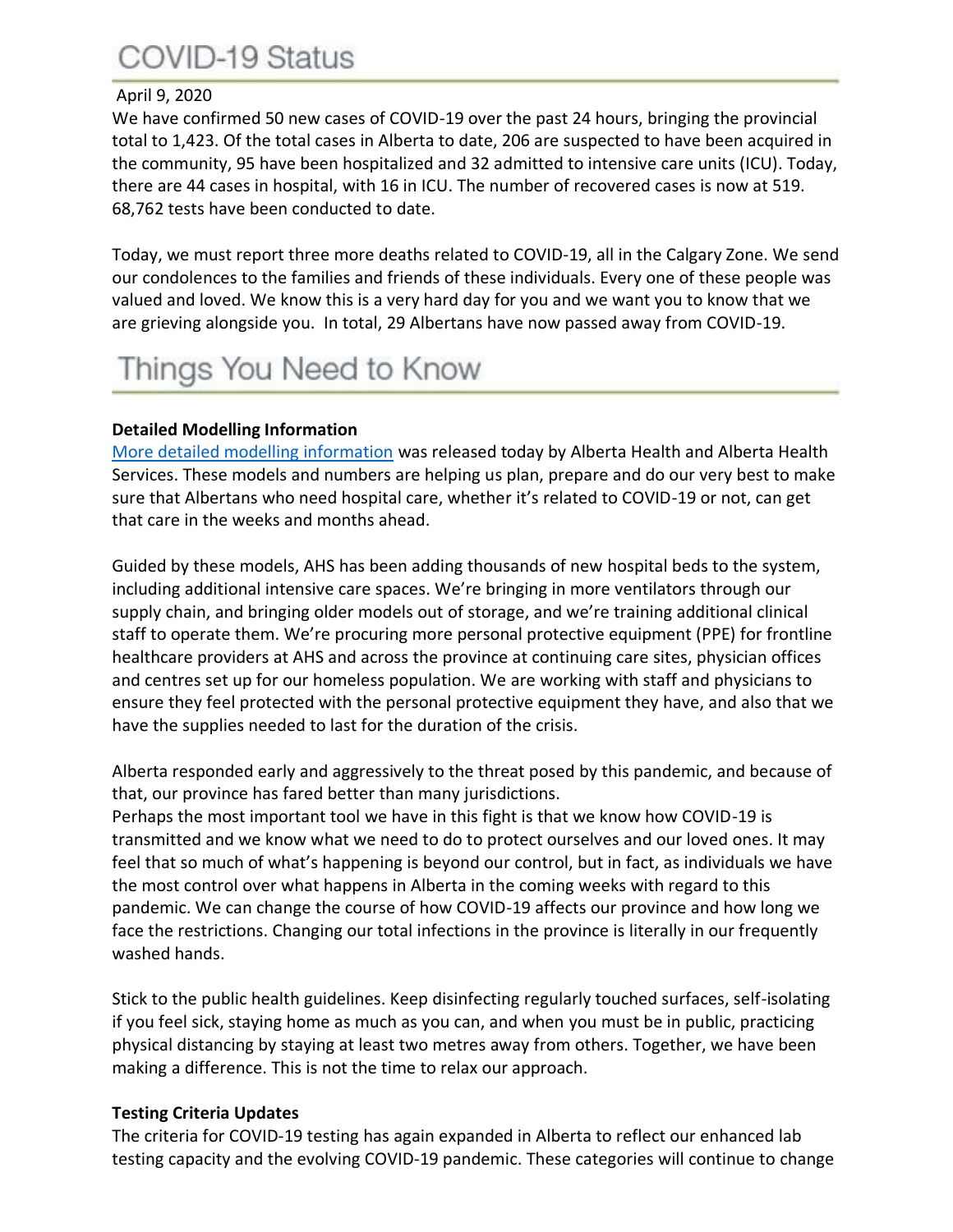# **COVID-19 Status**

### April 9, 2020

We have confirmed 50 new cases of COVID-19 over the past 24 hours, bringing the provincial total to 1,423. Of the total cases in Alberta to date, 206 are suspected to have been acquired in the community, 95 have been hospitalized and 32 admitted to intensive care units (ICU). Today, there are 44 cases in hospital, with 16 in ICU. The number of recovered cases is now at 519. 68,762 tests have been conducted to date.

Today, we must report three more deaths related to COVID-19, all in the Calgary Zone. We send our condolences to the families and friends of these individuals. Every one of these people was valued and loved. We know this is a very hard day for you and we want you to know that we are grieving alongside you. In total, 29 Albertans have now passed away from COVID-19.

# Things You Need to Know

# **Detailed Modelling Information**

[More detailed modelling information](https://www.alberta.ca/assets/documents/covid-19-case-modelling-projection.pdf) was released today by Alberta Health and Alberta Health Services. These models and numbers are helping us plan, prepare and do our very best to make sure that Albertans who need hospital care, whether it's related to COVID-19 or not, can get that care in the weeks and months ahead.

Guided by these models, AHS has been adding thousands of new hospital beds to the system, including additional intensive care spaces. We're bringing in more ventilators through our supply chain, and bringing older models out of storage, and we're training additional clinical staff to operate them. We're procuring more personal protective equipment (PPE) for frontline healthcare providers at AHS and across the province at continuing care sites, physician offices and centres set up for our homeless population. We are working with staff and physicians to ensure they feel protected with the personal protective equipment they have, and also that we have the supplies needed to last for the duration of the crisis.

Alberta responded early and aggressively to the threat posed by this pandemic, and because of that, our province has fared better than many jurisdictions.

Perhaps the most important tool we have in this fight is that we know how COVID-19 is transmitted and we know what we need to do to protect ourselves and our loved ones. It may feel that so much of what's happening is beyond our control, but in fact, as individuals we have the most control over what happens in Alberta in the coming weeks with regard to this pandemic. We can change the course of how COVID-19 affects our province and how long we face the restrictions. Changing our total infections in the province is literally in our frequently washed hands.

Stick to the public health guidelines. Keep disinfecting regularly touched surfaces, self-isolating if you feel sick, staying home as much as you can, and when you must be in public, practicing physical distancing by staying at least two metres away from others. Together, we have been making a difference. This is not the time to relax our approach.

# **Testing Criteria Updates**

The criteria for COVID-19 testing has again expanded in Alberta to reflect our enhanced lab testing capacity and the evolving COVID-19 pandemic. These categories will continue to change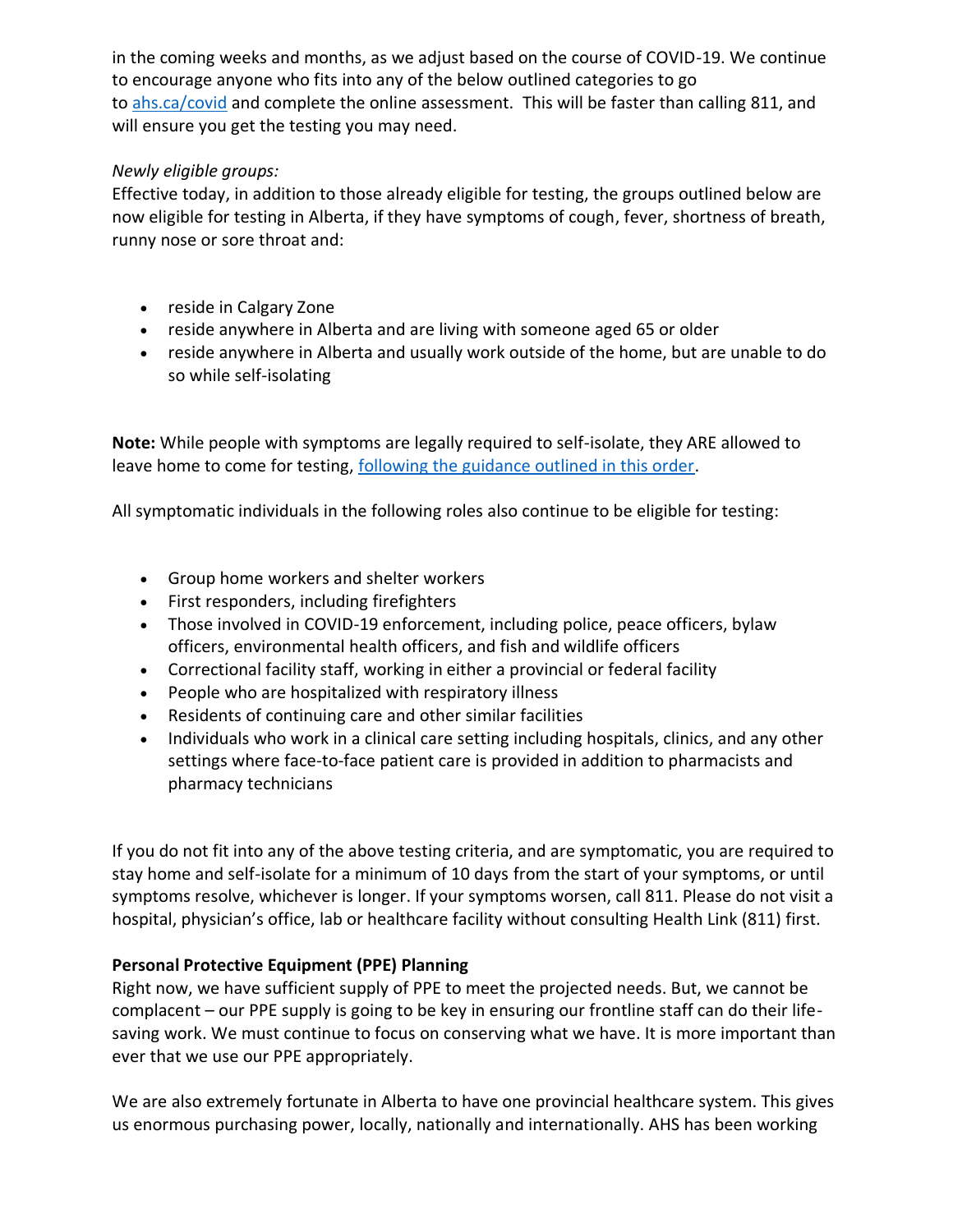in the coming weeks and months, as we adjust based on the course of COVID-19. We continue to encourage anyone who fits into any of the below outlined categories to go to [ahs.ca/covid](http://www.ahs.ca/covid) and complete the online assessment. This will be faster than calling 811, and will ensure you get the testing you may need.

# *Newly eligible groups:*

Effective today, in addition to those already eligible for testing, the groups outlined below are now eligible for testing in Alberta, if they have symptoms of cough, fever, shortness of breath, runny nose or sore throat and:

- reside in Calgary Zone
- reside anywhere in Alberta and are living with someone aged 65 or older
- reside anywhere in Alberta and usually work outside of the home, but are unable to do so while self-isolating

**Note:** While people with symptoms are legally required to self-isolate, they ARE allowed to leave home to come for testing, [following the guidance outlined in this order.](https://open.alberta.ca/dataset/d703fd54-ee23-4b53-bd4b-480cdbfdd851/resource/e853cc79-b3cd-4d31-86cf-c2dfb634904a/download/health-cmoh-exemption-isolated-persons-needing-testingcovid-19-2020-04-01.pdf)

All symptomatic individuals in the following roles also continue to be eligible for testing:

- Group home workers and shelter workers
- First responders, including firefighters
- Those involved in COVID-19 enforcement, including police, peace officers, bylaw officers, environmental health officers, and fish and wildlife officers
- Correctional facility staff, working in either a provincial or federal facility
- People who are hospitalized with respiratory illness
- Residents of continuing care and other similar facilities
- Individuals who work in a clinical care setting including hospitals, clinics, and any other settings where face-to-face patient care is provided in addition to pharmacists and pharmacy technicians

If you do not fit into any of the above testing criteria, and are symptomatic, you are required to stay home and self-isolate for a minimum of 10 days from the start of your symptoms, or until symptoms resolve, whichever is longer. If your symptoms worsen, call 811. Please do not visit a hospital, physician's office, lab or healthcare facility without consulting Health Link (811) first.

# **Personal Protective Equipment (PPE) Planning**

Right now, we have sufficient supply of PPE to meet the projected needs. But, we cannot be complacent – our PPE supply is going to be key in ensuring our frontline staff can do their lifesaving work. We must continue to focus on conserving what we have. It is more important than ever that we use our PPE appropriately.

We are also extremely fortunate in Alberta to have one provincial healthcare system. This gives us enormous purchasing power, locally, nationally and internationally. AHS has been working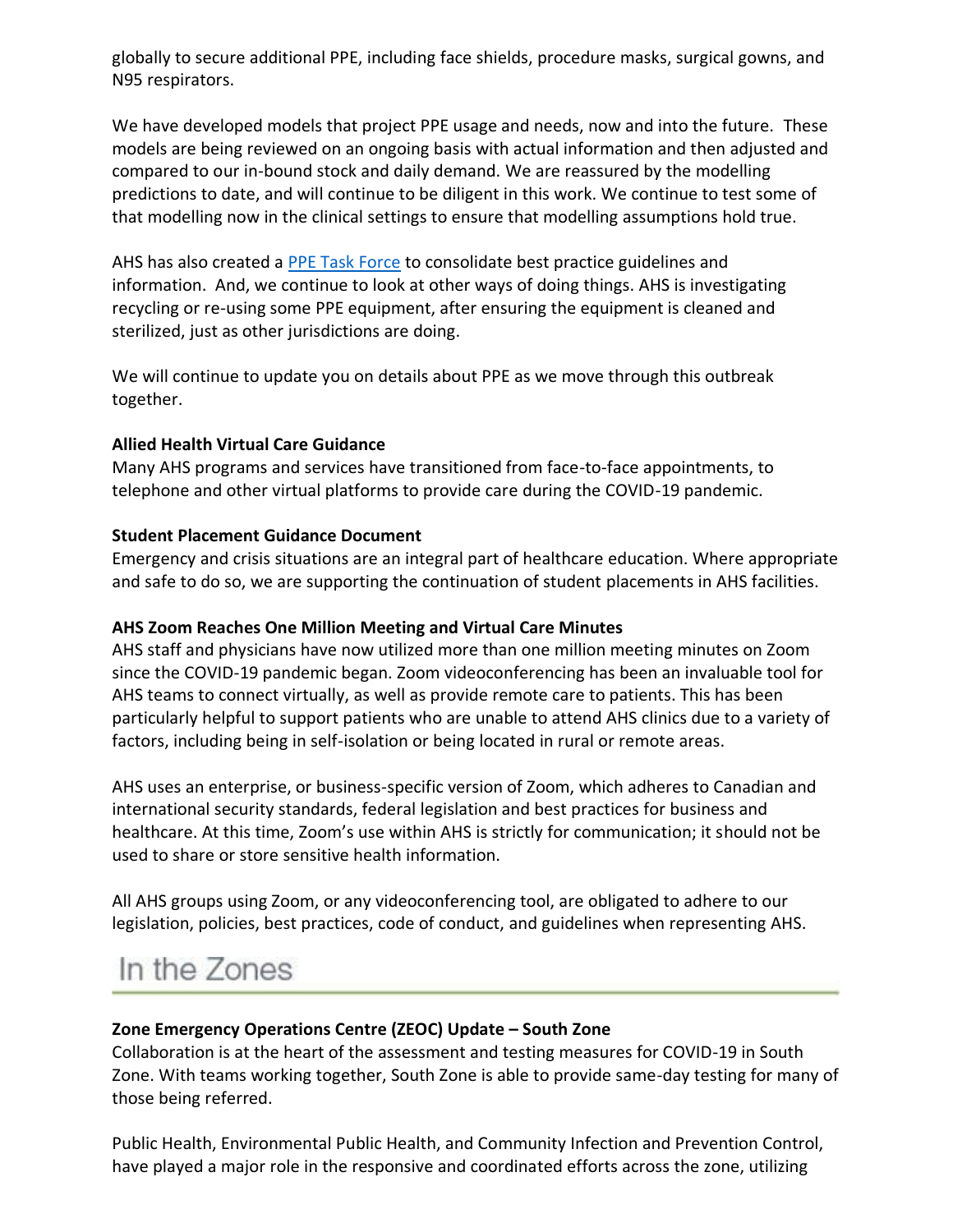globally to secure additional PPE, including face shields, procedure masks, surgical gowns, and N95 respirators.

We have developed models that project PPE usage and needs, now and into the future. These models are being reviewed on an ongoing basis with actual information and then adjusted and compared to our in-bound stock and daily demand. We are reassured by the modelling predictions to date, and will continue to be diligent in this work. We continue to test some of that modelling now in the clinical settings to ensure that modelling assumptions hold true.

AHS has also created a [PPE Task Force](https://www.albertahealthservices.ca/topics/Page17048.aspx) to consolidate best practice guidelines and information. And, we continue to look at other ways of doing things. AHS is investigating recycling or re-using some PPE equipment, after ensuring the equipment is cleaned and sterilized, just as other jurisdictions are doing.

We will continue to update you on details about PPE as we move through this outbreak together.

#### **Allied Health Virtual Care Guidance**

Many AHS programs and services have transitioned from face-to-face appointments, to telephone and other virtual platforms to provide care during the COVID-19 pandemic.

### **Student Placement Guidance Document**

Emergency and crisis situations are an integral part of healthcare education. Where appropriate and safe to do so, we are supporting the continuation of student placements in AHS facilities.

# **AHS Zoom Reaches One Million Meeting and Virtual Care Minutes**

AHS staff and physicians have now utilized more than one million meeting minutes on Zoom since the COVID-19 pandemic began. Zoom videoconferencing has been an invaluable tool for AHS teams to connect virtually, as well as provide remote care to patients. This has been particularly helpful to support patients who are unable to attend AHS clinics due to a variety of factors, including being in self-isolation or being located in rural or remote areas.

AHS uses an enterprise, or business-specific version of Zoom, which adheres to Canadian and international security standards, federal legislation and best practices for business and healthcare. At this time, Zoom's use within AHS is strictly for communication; it should not be used to share or store sensitive health information.

All AHS groups using Zoom, or any videoconferencing tool, are obligated to adhere to our legislation, policies, best practices, code of conduct, and guidelines when representing AHS.

# In the Zones

# **Zone Emergency Operations Centre (ZEOC) Update – South Zone**

Collaboration is at the heart of the assessment and testing measures for COVID-19 in South Zone. With teams working together, South Zone is able to provide same-day testing for many of those being referred.

Public Health, Environmental Public Health, and Community Infection and Prevention Control, have played a major role in the responsive and coordinated efforts across the zone, utilizing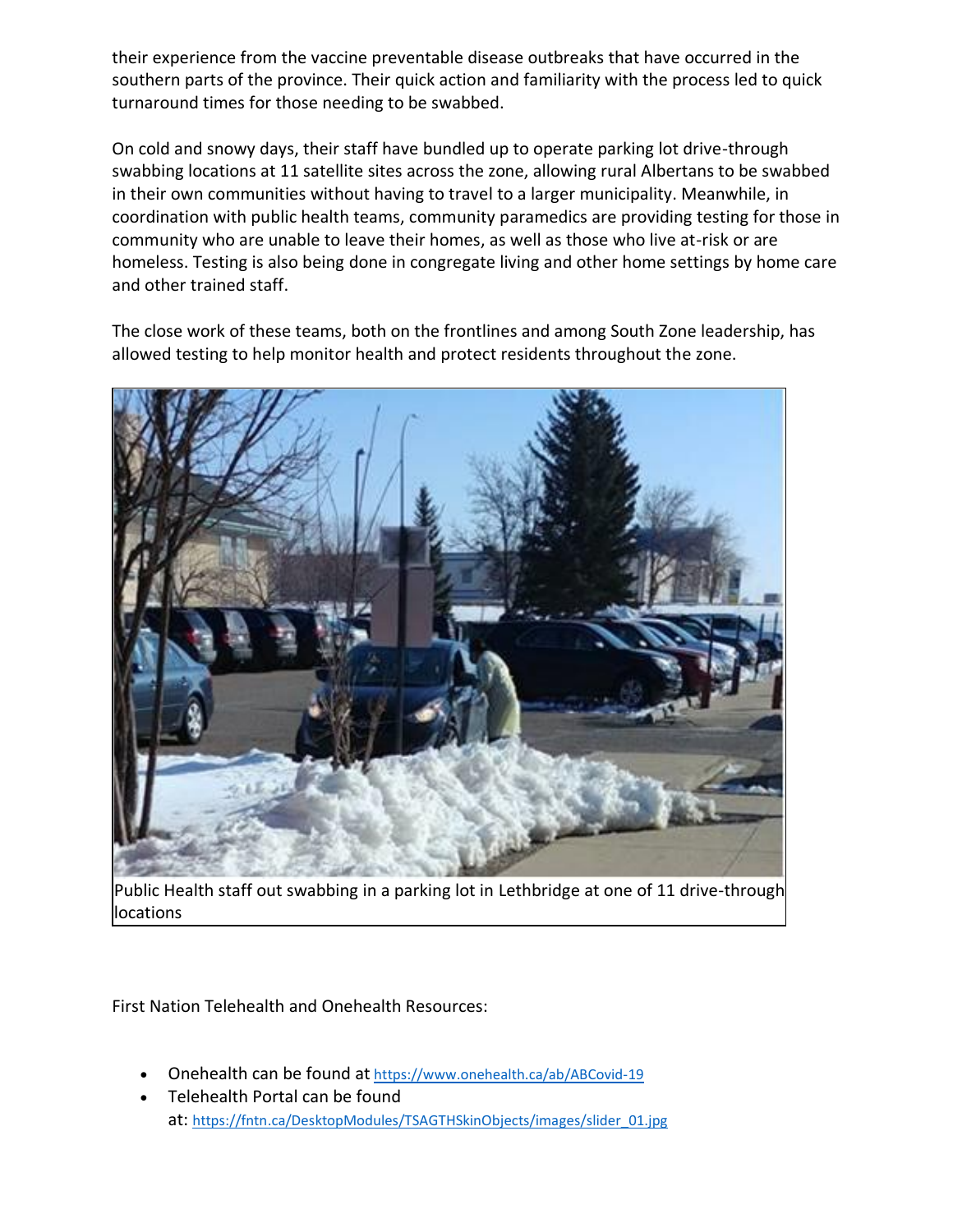their experience from the vaccine preventable disease outbreaks that have occurred in the southern parts of the province. Their quick action and familiarity with the process led to quick turnaround times for those needing to be swabbed.

On cold and snowy days, their staff have bundled up to operate parking lot drive-through swabbing locations at 11 satellite sites across the zone, allowing rural Albertans to be swabbed in their own communities without having to travel to a larger municipality. Meanwhile, in coordination with public health teams, community paramedics are providing testing for those in community who are unable to leave their homes, as well as those who live at-risk or are homeless. Testing is also being done in congregate living and other home settings by home care and other trained staff.

The close work of these teams, both on the frontlines and among South Zone leadership, has allowed testing to help monitor health and protect residents throughout the zone.



Public Health staff out swabbing in a parking lot in Lethbridge at one of 11 drive-through locations

First Nation Telehealth and Onehealth Resources:

- Onehealth can be found at <https://www.onehealth.ca/ab/ABCovid-19>
- Telehealth Portal can be found at: [https://fntn.ca/DesktopModules/TSAGTHSkinObjects/images/slider\\_01.jpg](https://fntn.ca/DesktopModules/TSAGTHSkinObjects/images/slider_01.jpg)